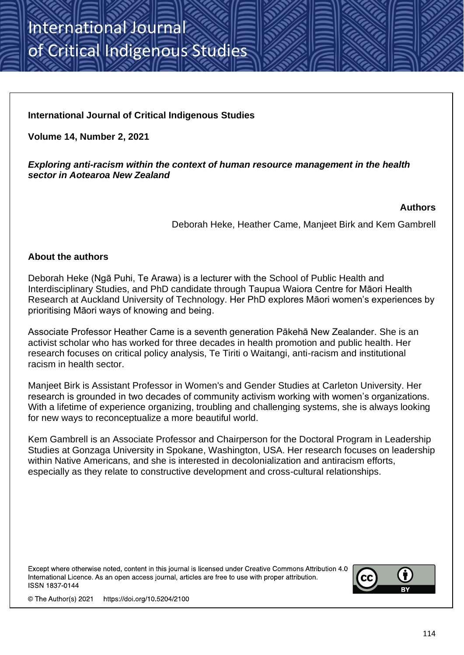# International Journal of Critical Indigenous Studies

### **International Journal of Critical Indigenous Studies**

**Volume 14, Number 2, 2021**

*Exploring anti-racism within the context of human resource management in the health sector in Aotearoa New Zealand*

#### **Authors**

Deborah Heke, Heather Came, Manjeet Birk and Kem Gambrell

#### **About the authors**

Deborah Heke (Ngā Puhi, Te Arawa) is a lecturer with the School of Public Health and Interdisciplinary Studies, and PhD candidate through Taupua Waiora Centre for Māori Health Research at Auckland University of Technology. Her PhD explores Māori women's experiences by prioritising Māori ways of knowing and being.

Associate Professor Heather Came is a seventh generation Pākehā New Zealander. She is an activist scholar who has worked for three decades in health promotion and public health. Her research focuses on critical policy analysis, Te Tiriti o Waitangi, anti-racism and institutional racism in health sector.

Manjeet Birk is Assistant Professor in Women's and Gender Studies at Carleton University. Her research is grounded in two decades of community activism working with women's organizations. With a lifetime of experience organizing, troubling and challenging systems, she is always looking for new ways to reconceptualize a more beautiful world.

Kem Gambrell is an Associate Professor and Chairperson for the Doctoral Program in Leadership Studies at Gonzaga University in Spokane, Washington, USA. Her research focuses on leadership within Native Americans, and she is interested in decolonialization and antiracism efforts, especially as they relate to constructive development and cross-cultural relationships.

Except where otherwise noted, content in this journal is licensed under Creative Commons Attribution 4.0 International Licence. As an open access journal, articles are free to use with proper attribution. **ISSN 1837-0144** 



© The Author(s) 2021 https://doi.org/10.5204/2100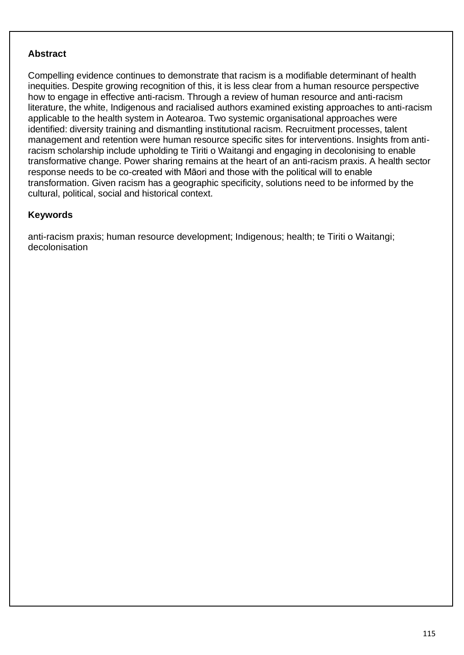## **Abstract**

Compelling evidence continues to demonstrate that racism is a modifiable determinant of health inequities. Despite growing recognition of this, it is less clear from a human resource perspective how to engage in effective anti-racism. Through a review of human resource and anti-racism literature, the white, Indigenous and racialised authors examined existing approaches to anti-racism applicable to the health system in Aotearoa. Two systemic organisational approaches were identified: diversity training and dismantling institutional racism. Recruitment processes, talent management and retention were human resource specific sites for interventions. Insights from antiracism scholarship include upholding te Tiriti o Waitangi and engaging in decolonising to enable transformative change. Power sharing remains at the heart of an anti-racism praxis. A health sector response needs to be co-created with Māori and those with the political will to enable transformation. Given racism has a geographic specificity, solutions need to be informed by the cultural, political, social and historical context.

### **Keywords**

anti-racism praxis; human resource development; Indigenous; health; te Tiriti o Waitangi; decolonisation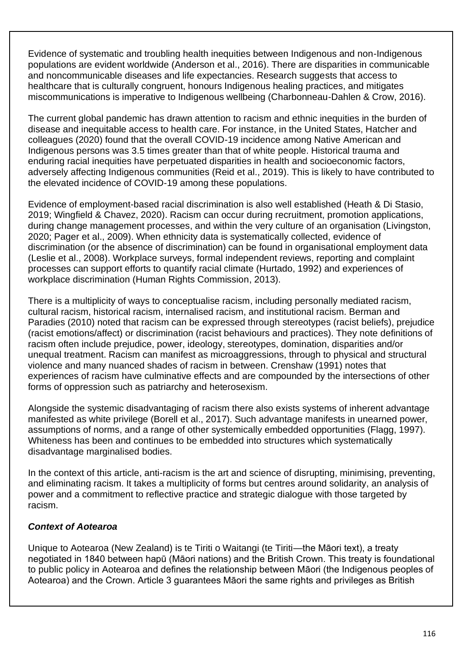Evidence of systematic and troubling health inequities between Indigenous and non-Indigenous populations are evident worldwide (Anderson et al., 2016). There are disparities in communicable and noncommunicable diseases and life expectancies. Research suggests that access to healthcare that is culturally congruent, honours Indigenous healing practices, and mitigates miscommunications is imperative to Indigenous wellbeing (Charbonneau-Dahlen & Crow, 2016).

The current global pandemic has drawn attention to racism and ethnic inequities in the burden of disease and inequitable access to health care. For instance, in the United States, Hatcher and colleagues (2020) found that the overall COVID-19 incidence among Native American and Indigenous persons was 3.5 times greater than that of white people. Historical trauma and enduring racial inequities have perpetuated disparities in health and socioeconomic factors, adversely affecting Indigenous communities (Reid et al., 2019). This is likely to have contributed to the elevated incidence of COVID-19 among these populations.

Evidence of employment-based racial discrimination is also well established (Heath & Di Stasio, 2019; Wingfield & Chavez, 2020). Racism can occur during recruitment, promotion applications, during change management processes, and within the very culture of an organisation (Livingston, 2020; Pager et al., 2009). When ethnicity data is systematically collected, evidence of discrimination (or the absence of discrimination) can be found in organisational employment data (Leslie et al., 2008). Workplace surveys, formal independent reviews, reporting and complaint processes can support efforts to quantify racial climate (Hurtado, 1992) and experiences of workplace discrimination (Human Rights Commission, 2013).

There is a multiplicity of ways to conceptualise racism, including personally mediated racism, cultural racism, historical racism, internalised racism, and institutional racism. Berman and Paradies (2010) noted that racism can be expressed through stereotypes (racist beliefs), prejudice (racist emotions/affect) or discrimination (racist behaviours and practices). They note definitions of racism often include prejudice, power, ideology, stereotypes, domination, disparities and/or unequal treatment. Racism can manifest as microaggressions, through to physical and structural violence and many nuanced shades of racism in between. Crenshaw (1991) notes that experiences of racism have culminative effects and are compounded by the intersections of other forms of oppression such as patriarchy and heterosexism.

Alongside the systemic disadvantaging of racism there also exists systems of inherent advantage manifested as white privilege (Borell et al., 2017). Such advantage manifests in unearned power, assumptions of norms, and a range of other systemically embedded opportunities (Flagg, 1997). Whiteness has been and continues to be embedded into structures which systematically disadvantage marginalised bodies.

In the context of this article, anti-racism is the art and science of disrupting, minimising, preventing, and eliminating racism. It takes a multiplicity of forms but centres around solidarity, an analysis of power and a commitment to reflective practice and strategic dialogue with those targeted by racism.

## *Context of Aotearoa*

Unique to Aotearoa (New Zealand) is te Tiriti o Waitangi (te Tiriti—the Māori text), a treaty negotiated in 1840 between hapū (Māori nations) and the British Crown. This treaty is foundational to public policy in Aotearoa and defines the relationship between Māori (the Indigenous peoples of Aotearoa) and the Crown. Article 3 guarantees Māori the same rights and privileges as British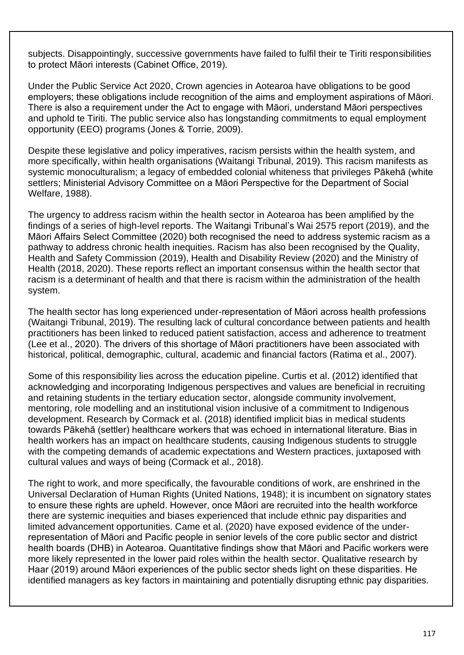subjects. Disappointingly, successive governments have failed to fulfil their te Tiriti responsibilities to protect Māori interests (Cabinet Office, 2019).

Under the Public Service Act 2020, Crown agencies in Aotearoa have obligations to be good employers; these obligations include recognition of the aims and employment aspirations of Māori. There is also a requirement under the Act to engage with Māori, understand Māori perspectives and uphold te Tiriti. The public service also has longstanding commitments to equal employment opportunity (EEO) programs (Jones & Torrie, 2009).

Despite these legislative and policy imperatives, racism persists within the health system, and more specifically, within health organisations (Waitangi Tribunal, 2019). This racism manifests as systemic monoculturalism; a legacy of embedded colonial whiteness that privileges Pākehā (white settlers; Ministerial Advisory Committee on a Māori Perspective for the Department of Social Welfare, 1988).

The urgency to address racism within the health sector in Aotearoa has been amplified by the findings of a series of high-level reports. The Waitangi Tribunal's Wai 2575 report (2019), and the Māori Affairs Select Committee (2020) both recognised the need to address systemic racism as a pathway to address chronic health inequities. Racism has also been recognised by the Quality, Health and Safety Commission (2019), Health and Disability Review (2020) and the Ministry of Health (2018, 2020). These reports reflect an important consensus within the health sector that racism is a determinant of health and that there is racism within the administration of the health system.

The health sector has long experienced under-representation of Māori across health professions (Waitangi Tribunal, 2019). The resulting lack of cultural concordance between patients and health practitioners has been linked to reduced patient satisfaction, access and adherence to treatment (Lee et al., 2020). The drivers of this shortage of Māori practitioners have been associated with historical, political, demographic, cultural, academic and financial factors (Ratima et al., 2007).

Some of this responsibility lies across the education pipeline. Curtis et al. (2012) identified that acknowledging and incorporating Indigenous perspectives and values are beneficial in recruiting and retaining students in the tertiary education sector, alongside community involvement, mentoring, role modelling and an institutional vision inclusive of a commitment to Indigenous development. Research by Cormack et al. (2018) identified implicit bias in medical students towards Pākehā (settler) healthcare workers that was echoed in international literature. Bias in health workers has an impact on healthcare students, causing Indigenous students to struggle with the competing demands of academic expectations and Western practices, juxtaposed with cultural values and ways of being (Cormack et al., 2018).

The right to work, and more specifically, the favourable conditions of work, are enshrined in the Universal Declaration of Human Rights (United Nations, 1948); it is incumbent on signatory states to ensure these rights are upheld. However, once Māori are recruited into the health workforce there are systemic inequities and biases experienced that include ethnic pay disparities and limited advancement opportunities. Came et al. (2020) have exposed evidence of the underrepresentation of Māori and Pacific people in senior levels of the core public sector and district health boards (DHB) in Aotearoa. Quantitative findings show that Māori and Pacific workers were more likely represented in the lower paid roles within the health sector. Qualitative research by Haar (2019) around Māori experiences of the public sector sheds light on these disparities. He identified managers as key factors in maintaining and potentially disrupting ethnic pay disparities.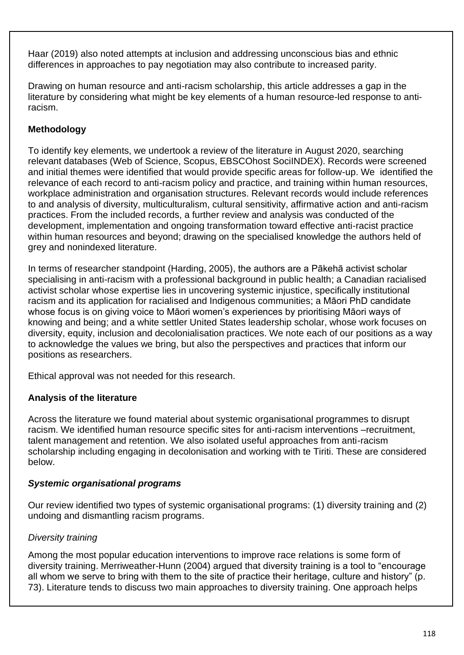Haar (2019) also noted attempts at inclusion and addressing unconscious bias and ethnic differences in approaches to pay negotiation may also contribute to increased parity.

Drawing on human resource and anti-racism scholarship, this article addresses a gap in the literature by considering what might be key elements of a human resource-led response to antiracism.

# **Methodology**

To identify key elements, we undertook a review of the literature in August 2020, searching relevant databases (Web of Science, Scopus, EBSCOhost SociINDEX). Records were screened and initial themes were identified that would provide specific areas for follow-up. We identified the relevance of each record to anti-racism policy and practice, and training within human resources, workplace administration and organisation structures. Relevant records would include references to and analysis of diversity, multiculturalism, cultural sensitivity, affirmative action and anti-racism practices. From the included records, a further review and analysis was conducted of the development, implementation and ongoing transformation toward effective anti-racist practice within human resources and beyond; drawing on the specialised knowledge the authors held of grey and nonindexed literature.

In terms of researcher standpoint (Harding, 2005), the authors are a Pākehā activist scholar specialising in anti-racism with a professional background in public health; a Canadian racialised activist scholar whose expertise lies in uncovering systemic injustice, specifically institutional racism and its application for racialised and Indigenous communities; a Māori PhD candidate whose focus is on giving voice to Māori women's experiences by prioritising Māori ways of knowing and being; and a white settler United States leadership scholar, whose work focuses on diversity, equity, inclusion and decolonialisation practices. We note each of our positions as a way to acknowledge the values we bring, but also the perspectives and practices that inform our positions as researchers.

Ethical approval was not needed for this research.

## **Analysis of the literature**

Across the literature we found material about systemic organisational programmes to disrupt racism. We identified human resource specific sites for anti-racism interventions –recruitment, talent management and retention. We also isolated useful approaches from anti-racism scholarship including engaging in decolonisation and working with te Tiriti. These are considered below.

## *Systemic organisational programs*

Our review identified two types of systemic organisational programs: (1) diversity training and (2) undoing and dismantling racism programs.

## *Diversity training*

Among the most popular education interventions to improve race relations is some form of diversity training. Merriweather-Hunn (2004) argued that diversity training is a tool to "encourage all whom we serve to bring with them to the site of practice their heritage, culture and history" (p. 73). Literature tends to discuss two main approaches to diversity training. One approach helps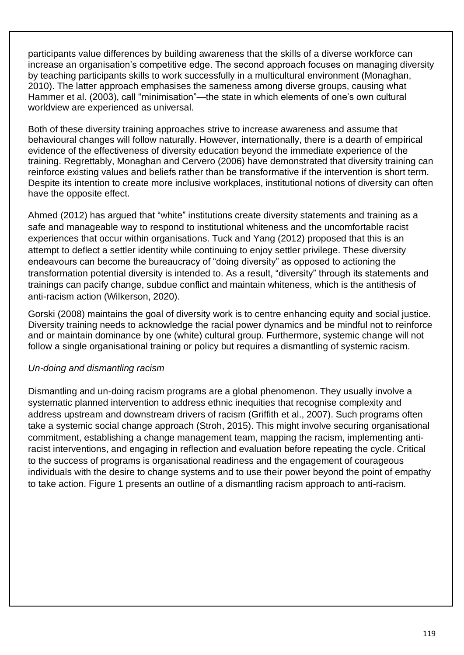participants value differences by building awareness that the skills of a diverse workforce can increase an organisation's competitive edge. The second approach focuses on managing diversity by teaching participants skills to work successfully in a multicultural environment (Monaghan, 2010). The latter approach emphasises the sameness among diverse groups, causing what Hammer et al. (2003), call "minimisation"—the state in which elements of one's own cultural worldview are experienced as universal.

Both of these diversity training approaches strive to increase awareness and assume that behavioural changes will follow naturally. However, internationally, there is a dearth of empirical evidence of the effectiveness of diversity education beyond the immediate experience of the training. Regrettably, Monaghan and Cervero (2006) have demonstrated that diversity training can reinforce existing values and beliefs rather than be transformative if the intervention is short term. Despite its intention to create more inclusive workplaces, institutional notions of diversity can often have the opposite effect.

Ahmed (2012) has argued that "white" institutions create diversity statements and training as a safe and manageable way to respond to institutional whiteness and the uncomfortable racist experiences that occur within organisations. Tuck and Yang (2012) proposed that this is an attempt to deflect a settler identity while continuing to enjoy settler privilege. These diversity endeavours can become the bureaucracy of "doing diversity" as opposed to actioning the transformation potential diversity is intended to. As a result, "diversity" through its statements and trainings can pacify change, subdue conflict and maintain whiteness, which is the antithesis of anti-racism action (Wilkerson, 2020).

Gorski (2008) maintains the goal of diversity work is to centre enhancing equity and social justice. Diversity training needs to acknowledge the racial power dynamics and be mindful not to reinforce and or maintain dominance by one (white) cultural group. Furthermore, systemic change will not follow a single organisational training or policy but requires a dismantling of systemic racism.

## *Un-doing and dismantling racism*

Dismantling and un-doing racism programs are a global phenomenon. They usually involve a systematic planned intervention to address ethnic inequities that recognise complexity and address upstream and downstream drivers of racism (Griffith et al., 2007). Such programs often take a systemic social change approach (Stroh, 2015). This might involve securing organisational commitment, establishing a change management team, mapping the racism, implementing antiracist interventions, and engaging in reflection and evaluation before repeating the cycle. Critical to the success of programs is organisational readiness and the engagement of courageous individuals with the desire to change systems and to use their power beyond the point of empathy to take action. Figure 1 presents an outline of a dismantling racism approach to anti-racism.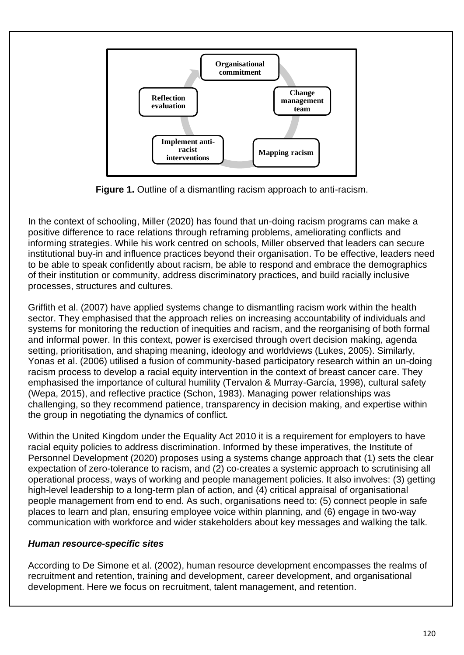

**Figure 1.** Outline of a dismantling racism approach to anti-racism.

In the context of schooling, Miller (2020) has found that un-doing racism programs can make a positive difference to race relations through reframing problems, ameliorating conflicts and informing strategies. While his work centred on schools, Miller observed that leaders can secure institutional buy-in and influence practices beyond their organisation. To be effective, leaders need to be able to speak confidently about racism, be able to respond and embrace the demographics of their institution or community, address discriminatory practices, and build racially inclusive processes, structures and cultures.

Griffith et al. (2007) have applied systems change to dismantling racism work within the health sector. They emphasised that the approach relies on increasing accountability of individuals and systems for monitoring the reduction of inequities and racism, and the reorganising of both formal and informal power. In this context, power is exercised through overt decision making, agenda setting, prioritisation, and shaping meaning, ideology and worldviews (Lukes, 2005). Similarly, Yonas et al. (2006) utilised a fusion of community-based participatory research within an un-doing racism process to develop a racial equity intervention in the context of breast cancer care. They emphasised the importance of cultural humility (Tervalon & Murray-García, 1998), cultural safety (Wepa, 2015), and reflective practice (Schon, 1983). Managing power relationships was challenging, so they recommend patience, transparency in decision making, and expertise within the group in negotiating the dynamics of conflict.

Within the United Kingdom under the Equality Act 2010 it is a requirement for employers to have racial equity policies to address discrimination. Informed by these imperatives, the Institute of Personnel Development (2020) proposes using a systems change approach that (1) sets the clear expectation of zero-tolerance to racism, and (2) co-creates a systemic approach to scrutinising all operational process, ways of working and people management policies. It also involves: (3) getting high-level leadership to a long-term plan of action, and (4) critical appraisal of organisational people management from end to end. As such, organisations need to: (5) connect people in safe places to learn and plan, ensuring employee voice within planning, and (6) engage in two-way communication with workforce and wider stakeholders about key messages and walking the talk.

## *Human resource-specific sites*

According to De Simone et al. (2002), human resource development encompasses the realms of recruitment and retention, training and development, career development, and organisational development. Here we focus on recruitment, talent management, and retention.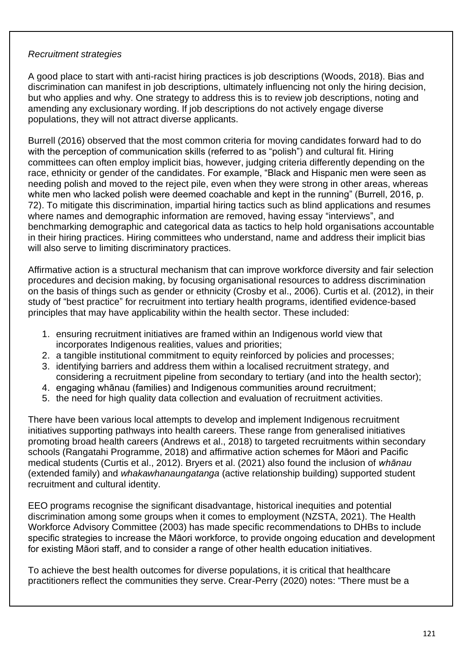### *Recruitment strategies*

A good place to start with anti-racist hiring practices is job descriptions (Woods, 2018). Bias and discrimination can manifest in job descriptions, ultimately influencing not only the hiring decision, but who applies and why. One strategy to address this is to review job descriptions, noting and amending any exclusionary wording. If job descriptions do not actively engage diverse populations, they will not attract diverse applicants.

Burrell (2016) observed that the most common criteria for moving candidates forward had to do with the perception of communication skills (referred to as "polish") and cultural fit. Hiring committees can often employ implicit bias, however, judging criteria differently depending on the race, ethnicity or gender of the candidates. For example, "Black and Hispanic men were seen as needing polish and moved to the reject pile, even when they were strong in other areas, whereas white men who lacked polish were deemed coachable and kept in the running" (Burrell, 2016, p. 72). To mitigate this discrimination, impartial hiring tactics such as blind applications and resumes where names and demographic information are removed, having essay "interviews", and benchmarking demographic and categorical data as tactics to help hold organisations accountable in their hiring practices. Hiring committees who understand, name and address their implicit bias will also serve to limiting discriminatory practices.

Affirmative action is a structural mechanism that can improve workforce diversity and fair selection procedures and decision making, by focusing organisational resources to address discrimination on the basis of things such as gender or ethnicity (Crosby et al., 2006). Curtis et al. (2012), in their study of "best practice" for recruitment into tertiary health programs, identified evidence-based principles that may have applicability within the health sector. These included:

- 1. ensuring recruitment initiatives are framed within an Indigenous world view that incorporates Indigenous realities, values and priorities;
- 2. a tangible institutional commitment to equity reinforced by policies and processes;
- 3. identifying barriers and address them within a localised recruitment strategy, and considering a recruitment pipeline from secondary to tertiary (and into the health sector);
- 4. engaging whānau (families) and Indigenous communities around recruitment;
- 5. the need for high quality data collection and evaluation of recruitment activities.

There have been various local attempts to develop and implement Indigenous recruitment initiatives supporting pathways into health careers. These range from generalised initiatives promoting broad health careers (Andrews et al., 2018) to targeted recruitments within secondary schools (Rangatahi Programme, 2018) and affirmative action schemes for Māori and Pacific medical students (Curtis et al., 2012). Bryers et al. (2021) also found the inclusion of *whānau*  (extended family) and *whakawhanaungatanga* (active relationship building) supported student recruitment and cultural identity.

EEO programs recognise the significant disadvantage, historical inequities and potential discrimination among some groups when it comes to employment (NZSTA, 2021). The Health Workforce Advisory Committee (2003) has made specific recommendations to DHBs to include specific strategies to increase the Māori workforce, to provide ongoing education and development for existing Māori staff, and to consider a range of other health education initiatives.

To achieve the best health outcomes for diverse populations, it is critical that healthcare practitioners reflect the communities they serve. Crear-Perry (2020) notes: "There must be a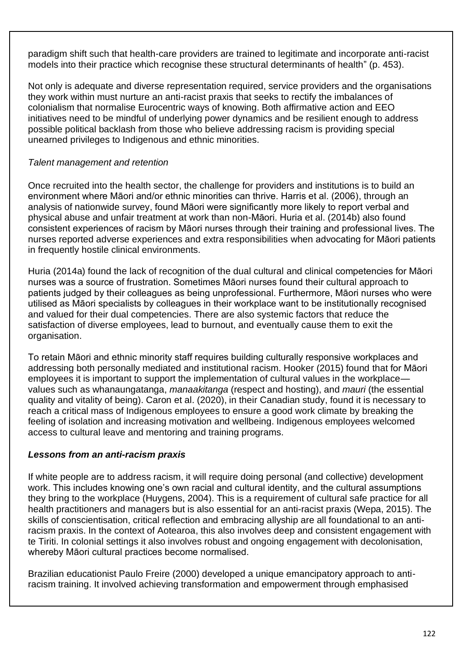paradigm shift such that health-care providers are trained to legitimate and incorporate anti-racist models into their practice which recognise these structural determinants of health" (p. 453).

Not only is adequate and diverse representation required, service providers and the organisations they work within must nurture an anti-racist praxis that seeks to rectify the imbalances of colonialism that normalise Eurocentric ways of knowing. Both affirmative action and EEO initiatives need to be mindful of underlying power dynamics and be resilient enough to address possible political backlash from those who believe addressing racism is providing special unearned privileges to Indigenous and ethnic minorities.

## *Talent management and retention*

Once recruited into the health sector, the challenge for providers and institutions is to build an environment where Māori and/or ethnic minorities can thrive. Harris et al. (2006), through an analysis of nationwide survey, found Māori were significantly more likely to report verbal and physical abuse and unfair treatment at work than non-Māori. Huria et al. (2014b) also found consistent experiences of racism by Māori nurses through their training and professional lives. The nurses reported adverse experiences and extra responsibilities when advocating for Māori patients in frequently hostile clinical environments.

Huria (2014a) found the lack of recognition of the dual cultural and clinical competencies for Māori nurses was a source of frustration. Sometimes Māori nurses found their cultural approach to patients judged by their colleagues as being unprofessional. Furthermore, Māori nurses who were utilised as Māori specialists by colleagues in their workplace want to be institutionally recognised and valued for their dual competencies. There are also systemic factors that reduce the satisfaction of diverse employees, lead to burnout, and eventually cause them to exit the organisation.

To retain Māori and ethnic minority staff requires building culturally responsive workplaces and addressing both personally mediated and institutional racism. Hooker (2015) found that for Māori employees it is important to support the implementation of cultural values in the workplace values such as whanaungatanga, *manaakitanga* (respect and hosting), and *mauri* (the essential quality and vitality of being). Caron et al. (2020), in their Canadian study, found it is necessary to reach a critical mass of Indigenous employees to ensure a good work climate by breaking the feeling of isolation and increasing motivation and wellbeing. Indigenous employees welcomed access to cultural leave and mentoring and training programs.

## *Lessons from an anti-racism praxis*

If white people are to address racism, it will require doing personal (and collective) development work. This includes knowing one's own racial and cultural identity, and the cultural assumptions they bring to the workplace (Huygens, 2004). This is a requirement of cultural safe practice for all health practitioners and managers but is also essential for an anti-racist praxis (Wepa, 2015). The skills of conscientisation, critical reflection and embracing allyship are all foundational to an antiracism praxis. In the context of Aotearoa, this also involves deep and consistent engagement with te Tiriti. In colonial settings it also involves robust and ongoing engagement with decolonisation, whereby Māori cultural practices become normalised.

Brazilian educationist Paulo Freire (2000) developed a unique emancipatory approach to antiracism training. It involved achieving transformation and empowerment through emphasised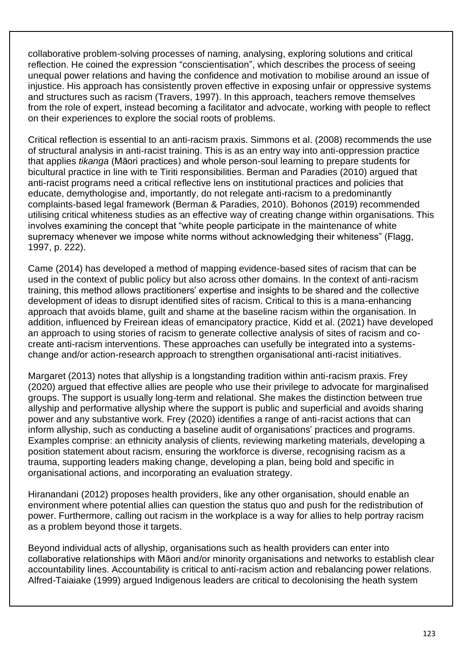collaborative problem-solving processes of naming, analysing, exploring solutions and critical reflection. He coined the expression "conscientisation", which describes the process of seeing unequal power relations and having the confidence and motivation to mobilise around an issue of injustice. His approach has consistently proven effective in exposing unfair or oppressive systems and structures such as racism (Travers, 1997). In this approach, teachers remove themselves from the role of expert, instead becoming a facilitator and advocate, working with people to reflect on their experiences to explore the social roots of problems.

Critical reflection is essential to an anti-racism praxis. Simmons et al. (2008) recommends the use of structural analysis in anti-racist training. This is as an entry way into anti-oppression practice that applies *tikanga* (Māori practices) and whole person-soul learning to prepare students for bicultural practice in line with te Tiriti responsibilities. Berman and Paradies (2010) argued that anti-racist programs need a critical reflective lens on institutional practices and policies that educate, demythologise and, importantly, do not relegate anti-racism to a predominantly complaints-based legal framework (Berman & Paradies, 2010). Bohonos (2019) recommended utilising critical whiteness studies as an effective way of creating change within organisations. This involves examining the concept that "white people participate in the maintenance of white supremacy whenever we impose white norms without acknowledging their whiteness" (Flagg, 1997, p. 222).

Came (2014) has developed a method of mapping evidence-based sites of racism that can be used in the context of public policy but also across other domains. In the context of anti-racism training, this method allows practitioners' expertise and insights to be shared and the collective development of ideas to disrupt identified sites of racism. Critical to this is a mana-enhancing approach that avoids blame, guilt and shame at the baseline racism within the organisation. In addition, influenced by Freirean ideas of emancipatory practice, Kidd et al. (2021) have developed an approach to using stories of racism to generate collective analysis of sites of racism and cocreate anti-racism interventions. These approaches can usefully be integrated into a systemschange and/or action-research approach to strengthen organisational anti-racist initiatives.

Margaret (2013) notes that allyship is a longstanding tradition within anti-racism praxis. Frey (2020) argued that effective allies are people who use their privilege to advocate for marginalised groups. The support is usually long-term and relational. She makes the distinction between true allyship and performative allyship where the support is public and superficial and avoids sharing power and any substantive work. Frey (2020) identifies a range of anti-racist actions that can inform allyship, such as conducting a baseline audit of organisations' practices and programs. Examples comprise: an ethnicity analysis of clients, reviewing marketing materials, developing a position statement about racism, ensuring the workforce is diverse, recognising racism as a trauma, supporting leaders making change, developing a plan, being bold and specific in organisational actions, and incorporating an evaluation strategy.

Hiranandani (2012) proposes health providers, like any other organisation, should enable an environment where potential allies can question the status quo and push for the redistribution of power. Furthermore, calling out racism in the workplace is a way for allies to help portray racism as a problem beyond those it targets.

Beyond individual acts of allyship, organisations such as health providers can enter into collaborative relationships with Māori and/or minority organisations and networks to establish clear accountability lines. Accountability is critical to anti-racism action and rebalancing power relations. Alfred-Taiaiake (1999) argued Indigenous leaders are critical to decolonising the heath system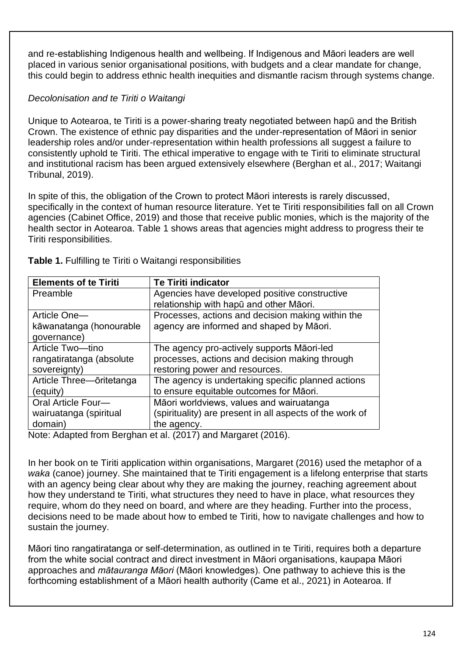and re-establishing Indigenous health and wellbeing. If Indigenous and Māori leaders are well placed in various senior organisational positions, with budgets and a clear mandate for change, this could begin to address ethnic health inequities and dismantle racism through systems change.

## *Decolonisation and te Tiriti o Waitangi*

Unique to Aotearoa, te Tiriti is a power-sharing treaty negotiated between hapū and the British Crown. The existence of ethnic pay disparities and the under-representation of Māori in senior leadership roles and/or under-representation within health professions all suggest a failure to consistently uphold te Tiriti. The ethical imperative to engage with te Tiriti to eliminate structural and institutional racism has been argued extensively elsewhere (Berghan et al., 2017; Waitangi Tribunal, 2019).

In spite of this, the obligation of the Crown to protect Māori interests is rarely discussed, specifically in the context of human resource literature. Yet te Tiriti responsibilities fall on all Crown agencies (Cabinet Office, 2019) and those that receive public monies, which is the majority of the health sector in Aotearoa. Table 1 shows areas that agencies might address to progress their te Tiriti responsibilities.

| <b>Elements of te Tiriti</b> | <b>Te Tiriti indicator</b>                               |
|------------------------------|----------------------------------------------------------|
| Preamble                     | Agencies have developed positive constructive            |
|                              | relationship with hapū and other Māori.                  |
| Article One-                 | Processes, actions and decision making within the        |
| kāwanatanga (honourable      | agency are informed and shaped by Māori.                 |
| governance)                  |                                                          |
| Article Two-tino             | The agency pro-actively supports Māori-led               |
| rangatiratanga (absolute     | processes, actions and decision making through           |
| sovereignty)                 | restoring power and resources.                           |
| Article Three-- oritetanga   | The agency is undertaking specific planned actions       |
| (equity)                     | to ensure equitable outcomes for Māori.                  |
| Oral Article Four-           | Māori worldviews, values and wairuatanga                 |
| wairuatanga (spiritual       | (spirituality) are present in all aspects of the work of |
| domain)                      | the agency.                                              |

**Table 1.** Fulfilling te Tiriti o Waitangi responsibilities

Note: Adapted from Berghan et al. (2017) and Margaret (2016).

In her book on te Tiriti application within organisations, Margaret (2016) used the metaphor of a *waka* (canoe) journey. She maintained that te Tiriti engagement is a lifelong enterprise that starts with an agency being clear about why they are making the journey, reaching agreement about how they understand te Tiriti, what structures they need to have in place, what resources they require, whom do they need on board, and where are they heading. Further into the process, decisions need to be made about how to embed te Tiriti, how to navigate challenges and how to sustain the journey.

Māori tino rangatiratanga or self-determination, as outlined in te Tiriti, requires both a departure from the white social contract and direct investment in Māori organisations, kaupapa Māori approaches and *mātauranga Māori* (Māori knowledges). One pathway to achieve this is the forthcoming establishment of a Māori health authority (Came et al., 2021) in Aotearoa. If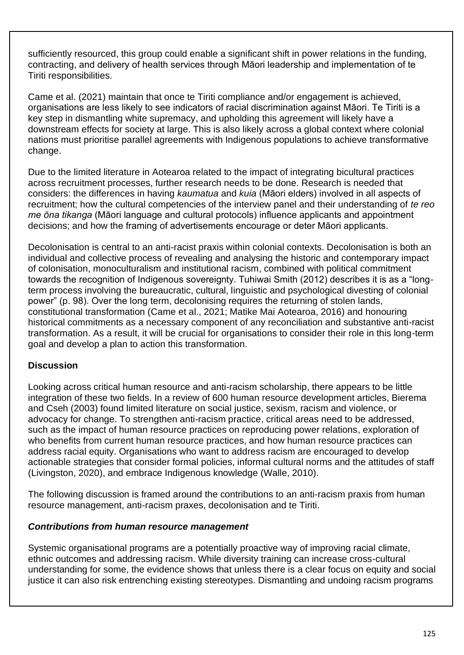sufficiently resourced, this group could enable a significant shift in power relations in the funding, contracting, and delivery of health services through Māori leadership and implementation of te Tiriti responsibilities.

Came et al. (2021) maintain that once te Tiriti compliance and/or engagement is achieved, organisations are less likely to see indicators of racial discrimination against Māori. Te Tiriti is a key step in dismantling white supremacy, and upholding this agreement will likely have a downstream effects for society at large. This is also likely across a global context where colonial nations must prioritise parallel agreements with Indigenous populations to achieve transformative change.

Due to the limited literature in Aotearoa related to the impact of integrating bicultural practices across recruitment processes, further research needs to be done. Research is needed that considers: the differences in having *kaumatua* and *kuia* (Māori elders) involved in all aspects of recruitment; how the cultural competencies of the interview panel and their understanding of *te reo me ōna tikanga* (Māori language and cultural protocols) influence applicants and appointment decisions; and how the framing of advertisements encourage or deter Māori applicants.

Decolonisation is central to an anti-racist praxis within colonial contexts. Decolonisation is both an individual and collective process of revealing and analysing the historic and contemporary impact of colonisation, monoculturalism and institutional racism, combined with political commitment towards the recognition of Indigenous sovereignty. Tuhiwai Smith (2012) describes it is as a "longterm process involving the bureaucratic, cultural, linguistic and psychological divesting of colonial power" (p. 98). Over the long term, decolonising requires the returning of stolen lands, constitutional transformation (Came et al., 2021; Matike Mai Aotearoa, 2016) and honouring historical commitments as a necessary component of any reconciliation and substantive anti-racist transformation. As a result, it will be crucial for organisations to consider their role in this long-term goal and develop a plan to action this transformation.

## **Discussion**

Looking across critical human resource and anti-racism scholarship, there appears to be little integration of these two fields. In a review of 600 human resource development articles, Bierema and Cseh (2003) found limited literature on social justice, sexism, racism and violence, or advocacy for change. To strengthen anti-racism practice, critical areas need to be addressed, such as the impact of human resource practices on reproducing power relations, exploration of who benefits from current human resource practices, and how human resource practices can address racial equity. Organisations who want to address racism are encouraged to develop actionable strategies that consider formal policies, informal cultural norms and the attitudes of staff (Livingston, 2020), and embrace Indigenous knowledge (Walle, 2010).

The following discussion is framed around the contributions to an anti-racism praxis from human resource management, anti-racism praxes, decolonisation and te Tiriti.

## *Contributions from human resource management*

Systemic organisational programs are a potentially proactive way of improving racial climate, ethnic outcomes and addressing racism. While diversity training can increase cross-cultural understanding for some, the evidence shows that unless there is a clear focus on equity and social justice it can also risk entrenching existing stereotypes. Dismantling and undoing racism programs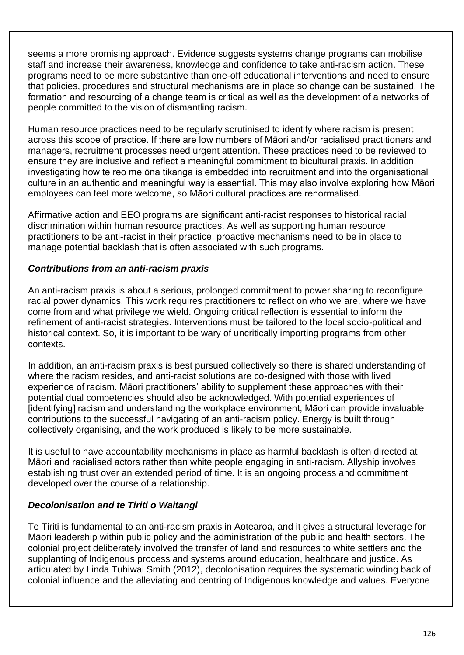seems a more promising approach. Evidence suggests systems change programs can mobilise staff and increase their awareness, knowledge and confidence to take anti-racism action. These programs need to be more substantive than one-off educational interventions and need to ensure that policies, procedures and structural mechanisms are in place so change can be sustained. The formation and resourcing of a change team is critical as well as the development of a networks of people committed to the vision of dismantling racism.

Human resource practices need to be regularly scrutinised to identify where racism is present across this scope of practice. If there are low numbers of Māori and/or racialised practitioners and managers, recruitment processes need urgent attention. These practices need to be reviewed to ensure they are inclusive and reflect a meaningful commitment to bicultural praxis. In addition, investigating how te reo me ōna tikanga is embedded into recruitment and into the organisational culture in an authentic and meaningful way is essential. This may also involve exploring how Māori employees can feel more welcome, so Māori cultural practices are renormalised.

Affirmative action and EEO programs are significant anti-racist responses to historical racial discrimination within human resource practices. As well as supporting human resource practitioners to be anti-racist in their practice, proactive mechanisms need to be in place to manage potential backlash that is often associated with such programs.

## *Contributions from an anti-racism praxis*

An anti-racism praxis is about a serious, prolonged commitment to power sharing to reconfigure racial power dynamics. This work requires practitioners to reflect on who we are, where we have come from and what privilege we wield. Ongoing critical reflection is essential to inform the refinement of anti-racist strategies. Interventions must be tailored to the local socio-political and historical context. So, it is important to be wary of uncritically importing programs from other contexts.

In addition, an anti-racism praxis is best pursued collectively so there is shared understanding of where the racism resides, and anti-racist solutions are co-designed with those with lived experience of racism. Māori practitioners' ability to supplement these approaches with their potential dual competencies should also be acknowledged. With potential experiences of [identifying] racism and understanding the workplace environment, Māori can provide invaluable contributions to the successful navigating of an anti-racism policy. Energy is built through collectively organising, and the work produced is likely to be more sustainable.

It is useful to have accountability mechanisms in place as harmful backlash is often directed at Māori and racialised actors rather than white people engaging in anti-racism. Allyship involves establishing trust over an extended period of time. It is an ongoing process and commitment developed over the course of a relationship.

## *Decolonisation and te Tiriti o Waitangi*

Te Tiriti is fundamental to an anti-racism praxis in Aotearoa, and it gives a structural leverage for Māori leadership within public policy and the administration of the public and health sectors. The colonial project deliberately involved the transfer of land and resources to white settlers and the supplanting of Indigenous process and systems around education, healthcare and justice. As articulated by Linda Tuhiwai Smith (2012), decolonisation requires the systematic winding back of colonial influence and the alleviating and centring of Indigenous knowledge and values. Everyone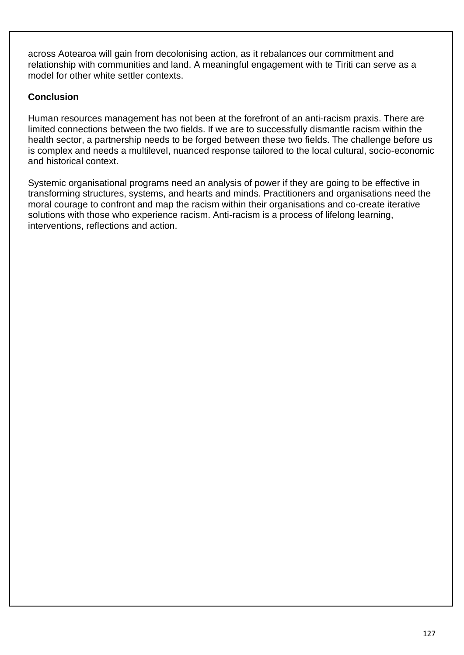across Aotearoa will gain from decolonising action, as it rebalances our commitment and relationship with communities and land. A meaningful engagement with te Tiriti can serve as a model for other white settler contexts.

## **Conclusion**

Human resources management has not been at the forefront of an anti-racism praxis. There are limited connections between the two fields. If we are to successfully dismantle racism within the health sector, a partnership needs to be forged between these two fields. The challenge before us is complex and needs a multilevel, nuanced response tailored to the local cultural, socio-economic and historical context.

Systemic organisational programs need an analysis of power if they are going to be effective in transforming structures, systems, and hearts and minds. Practitioners and organisations need the moral courage to confront and map the racism within their organisations and co-create iterative solutions with those who experience racism. Anti-racism is a process of lifelong learning, interventions, reflections and action.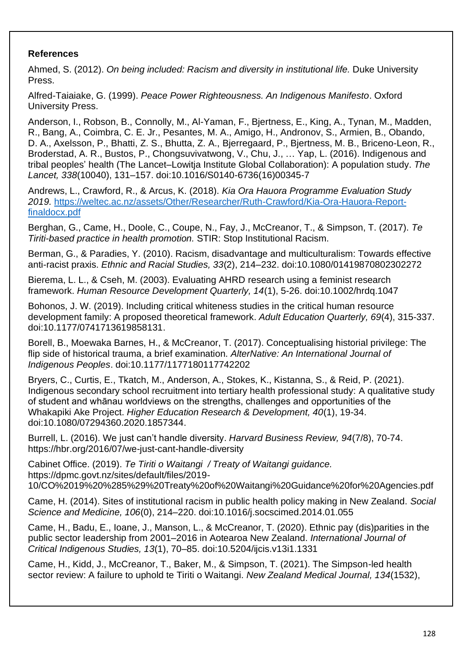## **References**

Ahmed, S. (2012). *On being included: Racism and diversity in institutional life.* Duke University Press.

Alfred-Taiaiake, G. (1999). *Peace Power Righteousness. An Indigenous Manifesto*. Oxford University Press.

Anderson, I., Robson, B., Connolly, M., Al-Yaman, F., Bjertness, E., King, A., Tynan, M., Madden, R., Bang, A., Coimbra, C. E. Jr., Pesantes, M. A., Amigo, H., Andronov, S., Armien, B., Obando, D. A., Axelsson, P., Bhatti, Z. S., Bhutta, Z. A., Bjerregaard, P., Bjertness, M. B., Briceno-Leon, R., Broderstad, A. R., Bustos, P., Chongsuvivatwong, V., Chu, J., … Yap, L. (2016). Indigenous and tribal peoples' health (The Lancet–Lowitja Institute Global Collaboration): A population study. *The Lancet, 338*(10040), 131–157. doi:10.1016/S0140-6736(16)00345-7

Andrews, L., Crawford, R., & Arcus, K. (2018). *Kia Ora Hauora Programme Evaluation Study 2019.* [https://weltec.ac.nz/assets/Other/Researcher/Ruth-Crawford/Kia-Ora-Hauora-Report](https://weltec.ac.nz/assets/Other/Researcher/Ruth-Crawford/Kia-Ora-Hauora-Report-finaldocx.pdf)[finaldocx.pdf](https://weltec.ac.nz/assets/Other/Researcher/Ruth-Crawford/Kia-Ora-Hauora-Report-finaldocx.pdf)

Berghan, G., Came, H., Doole, C., Coupe, N., Fay, J., McCreanor, T., & Simpson, T. (2017). *Te Tiriti-based practice in health promotion.* STIR: Stop Institutional Racism.

Berman, G., & Paradies, Y. (2010). Racism, disadvantage and multiculturalism: Towards effective anti-racist praxis. *Ethnic and Racial Studies, 33*(2), 214–232. doi:10.1080/01419870802302272

Bierema, L. L., & Cseh, M. (2003). Evaluating AHRD research using a feminist research framework. *Human Resource Development Quarterly, 14*(1), 5-26. doi:10.1002/hrdq.1047

Bohonos, J. W. (2019). Including critical whiteness studies in the critical human resource development family: A proposed theoretical framework. *Adult Education Quarterly, 69*(4), 315-337. doi:10.1177/0741713619858131.

Borell, B., Moewaka Barnes, H., & McCreanor, T. (2017). Conceptualising historial privilege: The flip side of historical trauma, a brief examination. *AlterNative: An International Journal of Indigenous Peoples*. doi:10.1177/1177180117742202

Bryers, C., Curtis, E., Tkatch, M., Anderson, A., Stokes, K., Kistanna, S., & Reid, P. (2021). Indigenous secondary school recruitment into tertiary health professional study: A qualitative study of student and whānau worldviews on the strengths, challenges and opportunities of the Whakapiki Ake Project. *Higher Education Research & Development, 40*(1), 19-34. doi:10.1080/07294360.2020.1857344.

Burrell, L. (2016). We just can't handle diversity. *Harvard Business Review, 94*(7/8), 70-74. <https://hbr.org/2016/07/we-just-cant-handle-diversity>

Cabinet Office. (2019). *Te Tiriti o Waitangi / Treaty of Waitangi guidance.* https://dpmc.govt.nz/sites/default/files/2019- 10/CO%2019%20%285%29%20Treaty%20of%20Waitangi%20Guidance%20for%20Agencies.pdf

Came, H. (2014). Sites of institutional racism in public health policy making in New Zealand. *Social Science and Medicine, 106*(0), 214–220. doi:10.1016/j.socscimed.2014.01.055

Came, H., Badu, E., Ioane, J., Manson, L., & McCreanor, T. (2020). Ethnic pay (dis)parities in the public sector leadership from 2001–2016 in Aotearoa New Zealand. *International Journal of Critical Indigenous Studies, 13*(1), 70–85. doi:10.5204/ijcis.v13i1.1331

Came, H., Kidd, J., McCreanor, T., Baker, M., & Simpson, T. (2021). The Simpson-led health sector review: A failure to uphold te Tiriti o Waitangi. *New Zealand Medical Journal, 134*(1532),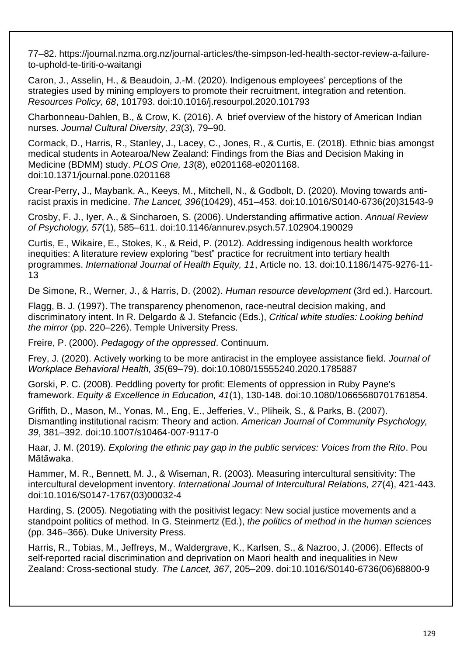77–82. https://journal.nzma.org.nz/journal-articles/the-simpson-led-health-sector-review-a-failureto-uphold-te-tiriti-o-waitangi

Caron, J., Asselin, H., & Beaudoin, J.-M. (2020). Indigenous employees' perceptions of the strategies used by mining employers to promote their recruitment, integration and retention. *Resources Policy, 68*, 101793. doi:10.1016/j.resourpol.2020.101793

Charbonneau-Dahlen, B., & Crow, K. (2016). A brief overview of the history of American Indian nurses. *Journal Cultural Diversity, 23*(3), 79–90.

Cormack, D., Harris, R., Stanley, J., Lacey, C., Jones, R., & Curtis, E. (2018). Ethnic bias amongst medical students in Aotearoa/New Zealand: Findings from the Bias and Decision Making in Medicine (BDMM) study. *PLOS One, 13*(8), e0201168-e0201168. doi:10.1371/journal.pone.0201168

Crear-Perry, J., Maybank, A., Keeys, M., Mitchell, N., & Godbolt, D. (2020). Moving towards antiracist praxis in medicine. *The Lancet, 396*(10429), 451–453. doi:10.1016/S0140-6736(20)31543-9

Crosby, F. J., Iyer, A., & Sincharoen, S. (2006). Understanding affirmative action. *Annual Review of Psychology, 57*(1), 585–611. doi:10.1146/annurev.psych.57.102904.190029

Curtis, E., Wikaire, E., Stokes, K., & Reid, P. (2012). Addressing indigenous health workforce inequities: A literature review exploring "best" practice for recruitment into tertiary health programmes. *International Journal of Health Equity, 11*, Article no. 13. doi:10.1186/1475-9276-11- 13

De Simone, R., Werner, J., & Harris, D. (2002). *Human resource development* (3rd ed.). Harcourt.

Flagg, B. J. (1997). The transparency phenomenon, race-neutral decision making, and discriminatory intent. In R. Delgardo & J. Stefancic (Eds.), *Critical white studies: Looking behind the mirror* (pp. 220–226). Temple University Press.

Freire, P. (2000). *Pedagogy of the oppressed*. Continuum.

Frey, J. (2020). Actively working to be more antiracist in the employee assistance field. *Journal of Workplace Behavioral Health, 35*(69–79). doi:10.1080/15555240.2020.1785887

Gorski, P. C. (2008). Peddling poverty for profit: Elements of oppression in Ruby Payne's framework. *Equity & Excellence in Education, 41*(1), 130-148. doi:10.1080/10665680701761854.

Griffith, D., Mason, M., Yonas, M., Eng, E., Jefferies, V., Pliheik, S., & Parks, B. (2007). Dismantling institutional racism: Theory and action. *American Journal of Community Psychology, 39*, 381–392. doi:10.1007/s10464-007-9117-0

Haar, J. M. (2019). *Exploring the ethnic pay gap in the public services: Voices from the Rito*. Pou Mātāwaka.

Hammer, M. R., Bennett, M. J., & Wiseman, R. (2003). Measuring intercultural sensitivity: The intercultural development inventory. *International Journal of Intercultural Relations, 27*(4), 421-443. doi[:10.1016/S0147-1767\(03\)00032-4](https://doi.org/10.1016/S0147-1767(03)00032-4)

Harding, S. (2005). Negotiating with the positivist legacy: New social justice movements and a standpoint politics of method. In G. Steinmertz (Ed.), *the politics of method in the human sciences* (pp. 346–366). Duke University Press.

Harris, R., Tobias, M., Jeffreys, M., Waldergrave, K., Karlsen, S., & Nazroo, J. (2006). Effects of self-reported racial discrimination and deprivation on Maori health and inequalities in New Zealand: Cross-sectional study. *The Lancet, 367*, 205–209. doi:10.1016/S0140-6736(06)68800-9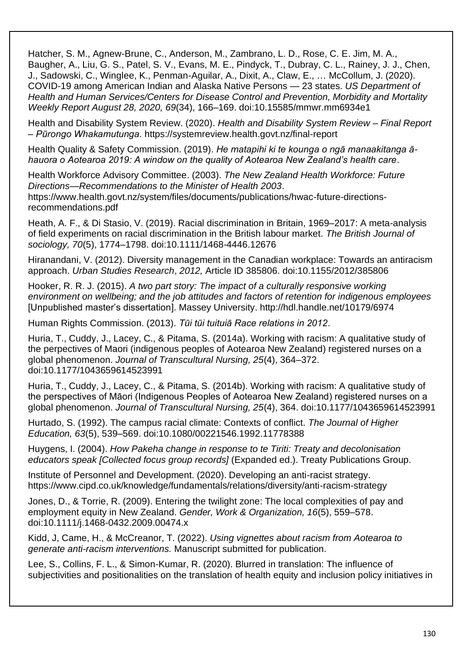Hatcher, S. M., Agnew-Brune, C., Anderson, M., Zambrano, L. D., Rose, C. E. Jim, M. A., Baugher, A., Liu, G. S., Patel, S. V., Evans, M. E., Pindyck, T., Dubray, C. L., Rainey, J. J., Chen, J., Sadowski, C., Winglee, K., Penman-Aguilar, A., Dixit, A., Claw, E., … McCollum, J. (2020). COVID-19 among American Indian and Alaska Native Persons — 23 states. *US Department of Health and Human Services/Centers for Disease Control and Prevention, Morbidity and Mortality Weekly Report August 28, 2020, 69*(34), 166–169. doi:10.15585/mmwr.mm6934e1

Health and Disability System Review. (2020). *Health and Disability System Review – Final Report – Pūrongo Whakamutunga.* https://systemreview.health.govt.nz/final-report

Health Quality & Safety Commission. (2019). *He matapihi ki te kounga o ngā manaakitanga āhauora o Aotearoa 2019: A window on the quality of Aotearoa New Zealand's health care*.

Health Workforce Advisory Committee. (2003). *The New Zealand Health Workforce: Future Directions—Recommendations to the Minister of Health 2003*. https://www.health.govt.nz/system/files/documents/publications/hwac-future-directionsrecommendations.pdf

Heath, A. F., & Di Stasio, V. (2019). Racial discrimination in Britain, 1969–2017: A meta-analysis of field experiments on racial discrimination in the British labour market. *The British Journal of sociology, 70*(5), 1774–1798. doi:10.1111/1468-4446.12676

Hiranandani, V. (2012). Diversity management in the Canadian workplace: Towards an antiracism approach. *Urban Studies Research*, *2012,* Article ID 385806. doi:10.1155/2012/385806

Hooker, R. R. J. (2015). *A two part story: The impact of a culturally responsive working environment on wellbeing; and the job attitudes and factors of retention for indigenous employees* [Unpublished master's dissertation]. Massey University. http://hdl.handle.net/10179/6974

Human Rights Commission. (2013). *Tūi tūi tuituiā Race relations in 2012*.

Huria, T., Cuddy, J., Lacey, C., & Pitama, S. (2014a). Working with racism: A qualitative study of the perpectives of Maori (indigenous peoples of Aotearoa New Zealand) registered nurses on a global phenomenon. *Journal of Transcultural Nursing, 25*(4), 364–372. doi:10.1177/1043659614523991

Huria, T., Cuddy, J., Lacey, C., & Pitama, S. (2014b). Working with racism: A qualitative study of the perspectives of Māori (Indigenous Peoples of Aotearoa New Zealand) registered nurses on a global phenomenon. *Journal of Transcultural Nursing, 25*(4), 364. doi[:10.1177/1043659614523991](https://doi.org/10.1177%2F1043659614523991)

Hurtado, S. (1992). The campus racial climate: Contexts of conflict. *The Journal of Higher Education, 63*(5), 539–569. doi:10.1080/00221546.1992.11778388

Huygens, I. (2004). *How Pakeha change in response to te Tiriti: Treaty and decolonisation educators speak [Collected focus group records]* (Expanded ed.). Treaty Publications Group.

Institute of Personnel and Development. (2020). Developing an anti-racist strategy. https://www.cipd.co.uk/knowledge/fundamentals/relations/diversity/anti-racism-strategy

Jones, D., & Torrie, R. (2009). Entering the twilight zone: The local complexities of pay and employment equity in New Zealand. *Gender, Work & Organization, 16*(5), 559–578. doi:10.1111/j.1468-0432.2009.00474.x

Kidd, J, Came, H., & McCreanor, T. (2022). *Using vignettes about racism from Aotearoa to generate anti-racism interventions.* Manuscript submitted for publication.

Lee, S., Collins, F. L., & Simon-Kumar, R. (2020). Blurred in translation: The influence of subjectivities and positionalities on the translation of health equity and inclusion policy initiatives in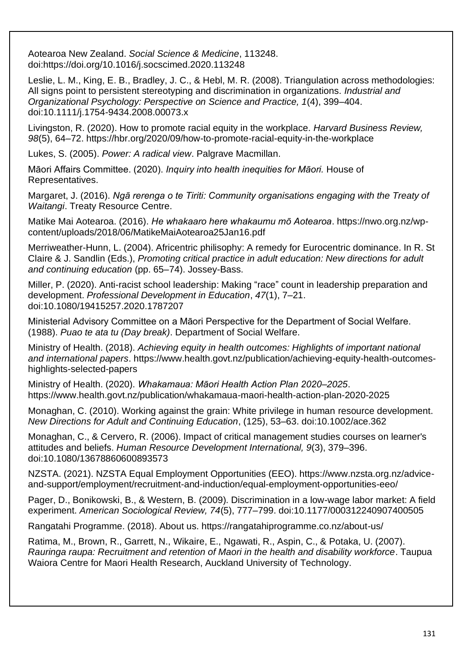Aotearoa New Zealand. *Social Science & Medicine*, 113248. doi:https://doi.org/10.1016/j.socscimed.2020.113248

Leslie, L. M., King, E. B., Bradley, J. C., & Hebl, M. R. (2008). Triangulation across methodologies: All signs point to persistent stereotyping and discrimination in organizations. *Industrial and Organizational Psychology: Perspective on Science and Practice, 1*(4), 399–404. doi:10.1111/j.1754-9434.2008.00073.x

Livingston, R. (2020). How to promote racial equity in the workplace. *Harvard Business Review, 98*(5), 64–72. https://hbr.org/2020/09/how-to-promote-racial-equity-in-the-workplace

Lukes, S. (2005). *Power: A radical view*. Palgrave Macmillan.

Māori Affairs Committee. (2020). *Inquiry into health inequities for Māori.* House of Representatives.

Margaret, J. (2016). *Ngā rerenga o te Tiriti: Community organisations engaging with the Treaty of Waitangi*. Treaty Resource Centre.

Matike Mai Aotearoa. (2016). *He whakaaro here whakaumu mō Aotearoa*. https://nwo.org.nz/wpcontent/uploads/2018/06/MatikeMaiAotearoa25Jan16.pdf

Merriweather-Hunn, L. (2004). Africentric philisophy: A remedy for Eurocentric dominance. In R. St Claire & J. Sandlin (Eds.), *Promoting critical practice in adult education: New directions for adult and continuing education* (pp. 65–74). Jossey-Bass.

Miller, P. (2020). Anti-racist school leadership: Making "race" count in leadership preparation and development. *Professional Development in Education*, *47*(1), 7–21. doi:10.1080/19415257.2020.1787207

Ministerial Advisory Committee on a Māori Perspective for the Department of Social Welfare. (1988). *Puao te ata tu (Day break)*. Department of Social Welfare.

Ministry of Health. (2018). *Achieving equity in health outcomes: Highlights of important national and international papers*. https://www.health.govt.nz/publication/achieving-equity-health-outcomeshighlights-selected-papers

Ministry of Health. (2020). *Whakamaua: Māori Health Action Plan 2020–2025*. https://www.health.govt.nz/publication/whakamaua-maori-health-action-plan-2020-2025

Monaghan, C. (2010). Working against the grain: White privilege in human resource development. *New Directions for Adult and Continuing Education*, (125), 53–63. doi:10.1002/ace.362

Monaghan, C., & Cervero, R. (2006). Impact of critical management studies courses on learner's attitudes and beliefs. *Human Resource Development International, 9*(3), 379–396. doi:10.1080/13678860600893573

NZSTA. (2021). NZSTA Equal Employment Opportunities (EEO). https://www.nzsta.org.nz/adviceand-support/employment/recruitment-and-induction/equal-employment-opportunities-eeo/

Pager, D., Bonikowski, B., & Western, B. (2009). Discrimination in a low-wage labor market: A field experiment. *American Sociological Review, 74*(5), 777–799. doi:10.1177/000312240907400505

Rangatahi Programme. (2018). About us. https://rangatahiprogramme.co.nz/about-us/

Ratima, M., Brown, R., Garrett, N., Wikaire, E., Ngawati, R., Aspin, C., & Potaka, U. (2007). *Rauringa raupa: Recruitment and retention of Maori in the health and disability workforce*. Taupua Waiora Centre for Maori Health Research, Auckland University of Technology.